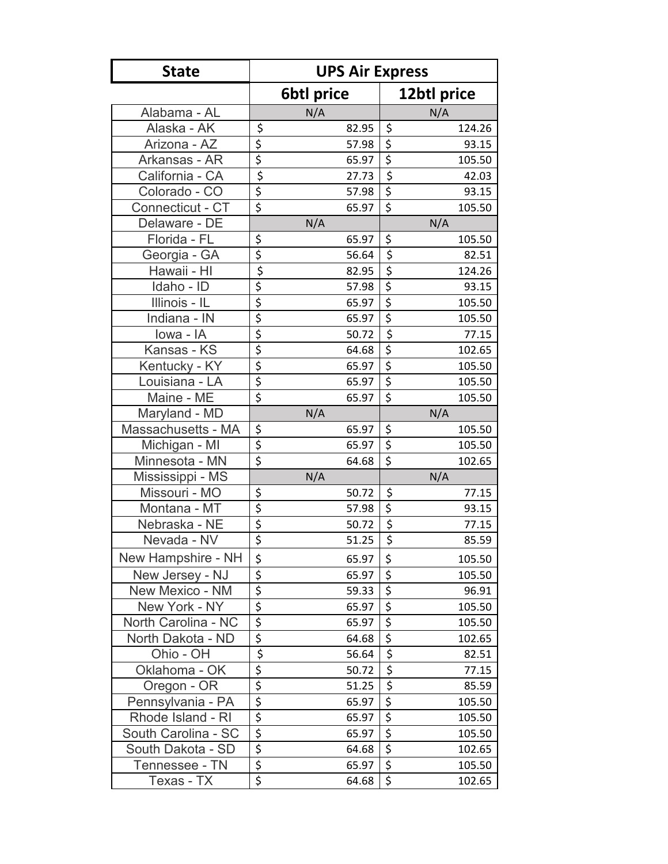| <b>State</b>        | <b>UPS Air Express</b>                                           |                                              |  |  |  |  |  |
|---------------------|------------------------------------------------------------------|----------------------------------------------|--|--|--|--|--|
|                     | <b>6btl price</b>                                                | 12btl price                                  |  |  |  |  |  |
| Alabama - AL        | N/A                                                              | N/A                                          |  |  |  |  |  |
| Alaska - AK         | \$<br>82.95                                                      | \$<br>124.26                                 |  |  |  |  |  |
| Arizona - AZ        | 57.98                                                            | $\overline{\xi}$<br>93.15                    |  |  |  |  |  |
| Arkansas - AR       | $rac{5}{5}$<br>65.97                                             | $\overline{\xi}$<br>105.50                   |  |  |  |  |  |
| California - CA     | 27.73                                                            | $\overline{\xi}$<br>42.03                    |  |  |  |  |  |
| Colorado - CO       | $rac{5}{5}$<br>57.98                                             | \$<br>93.15                                  |  |  |  |  |  |
| Connecticut - CT    | 65.97                                                            | $\overline{\xi}$<br>105.50                   |  |  |  |  |  |
| Delaware - DE       | N/A                                                              | N/A                                          |  |  |  |  |  |
| Florida - FL        | \$<br>65.97                                                      | \$<br>105.50                                 |  |  |  |  |  |
| Georgia - GA        | \$<br>56.64                                                      | $\overline{\xi}$<br>82.51                    |  |  |  |  |  |
| Hawaii - HI         | 82.95                                                            | \$<br>124.26                                 |  |  |  |  |  |
| Idaho - ID          | 57.98                                                            | $\overline{\xi}$<br>93.15                    |  |  |  |  |  |
| Illinois - IL       | $\frac{1}{5}$ $\frac{1}{5}$ $\frac{1}{5}$ $\frac{1}{5}$<br>65.97 | \$<br>105.50                                 |  |  |  |  |  |
| Indiana - IN        | 65.97                                                            | $\overline{\xi}$<br>105.50                   |  |  |  |  |  |
| lowa - IA           | 50.72                                                            | $\overline{\xi}$<br>77.15                    |  |  |  |  |  |
| Kansas - KS         | $rac{5}{5}$<br>64.68                                             | $\overline{\xi}$<br>102.65                   |  |  |  |  |  |
| Kentucky - KY       | 65.97                                                            | $\overline{\xi}$<br>105.50                   |  |  |  |  |  |
| Louisiana - LA      | $rac{5}{5}$<br>65.97                                             | $\overline{\boldsymbol{\zeta}}$<br>105.50    |  |  |  |  |  |
| Maine - ME          | \$<br>65.97                                                      | $\overline{\xi}$<br>105.50                   |  |  |  |  |  |
| Maryland - MD       | N/A                                                              | N/A                                          |  |  |  |  |  |
| Massachusetts - MA  | \$<br>65.97                                                      | \$<br>105.50                                 |  |  |  |  |  |
| Michigan - MI       | \$<br>65.97                                                      | $\overline{\xi}$<br>105.50                   |  |  |  |  |  |
| Minnesota - MN      | \$<br>64.68                                                      | \$<br>102.65                                 |  |  |  |  |  |
| Mississippi - MS    | N/A                                                              | N/A                                          |  |  |  |  |  |
| Missouri - MO       | 50.72                                                            | \$<br>77.15                                  |  |  |  |  |  |
| Montana - MT        | $\frac{5}{5}$<br>$\frac{5}{5}$<br>57.98                          | $\overline{\xi}$<br>93.15                    |  |  |  |  |  |
| Nebraska - NE       | 50.72                                                            | \$<br>77.15                                  |  |  |  |  |  |
| Nevada - NV         | 51.25                                                            | $\overline{\boldsymbol{\varsigma}}$<br>85.59 |  |  |  |  |  |
| New Hampshire - NH  | \$<br>65.97                                                      | \$<br>105.50                                 |  |  |  |  |  |
| New Jersey - NJ     | $\overline{\xi}$<br>65.97                                        | \$<br>105.50                                 |  |  |  |  |  |
| New Mexico - NM     | 59.33                                                            | \$<br>96.91                                  |  |  |  |  |  |
| New York - NY       | $\frac{5}{5}$<br>65.97                                           | $\overline{\xi}$<br>105.50                   |  |  |  |  |  |
| North Carolina - NC | \$<br>65.97                                                      | $\overline{\boldsymbol{\zeta}}$<br>105.50    |  |  |  |  |  |
| North Dakota - ND   | \$<br>64.68                                                      | \$<br>102.65                                 |  |  |  |  |  |
| Ohio - OH           | \$<br>56.64                                                      | \$<br>82.51                                  |  |  |  |  |  |
| Oklahoma - OK       | \$<br>50.72                                                      | $\overline{\mathsf{S}}$<br>77.15             |  |  |  |  |  |
| Oregon - OR         | $\overline{\xi}$<br>51.25                                        | $\overline{\xi}$<br>85.59                    |  |  |  |  |  |
| Pennsylvania - PA   | $\frac{1}{5}$<br>65.97                                           | $\overline{\xi}$<br>105.50                   |  |  |  |  |  |
| Rhode Island - RI   | $\overline{\xi}$<br>65.97                                        | $\overline{\boldsymbol{\zeta}}$<br>105.50    |  |  |  |  |  |
| South Carolina - SC | $\overline{\xi}$<br>65.97                                        | $\overline{\xi}$<br>105.50                   |  |  |  |  |  |
| South Dakota - SD   | \$<br>64.68                                                      | \$<br>102.65                                 |  |  |  |  |  |
| Tennessee - TN      | \$<br>65.97                                                      | $\overline{\boldsymbol{\zeta}}$<br>105.50    |  |  |  |  |  |
| Texas - TX          | \$<br>64.68                                                      | \$<br>102.65                                 |  |  |  |  |  |